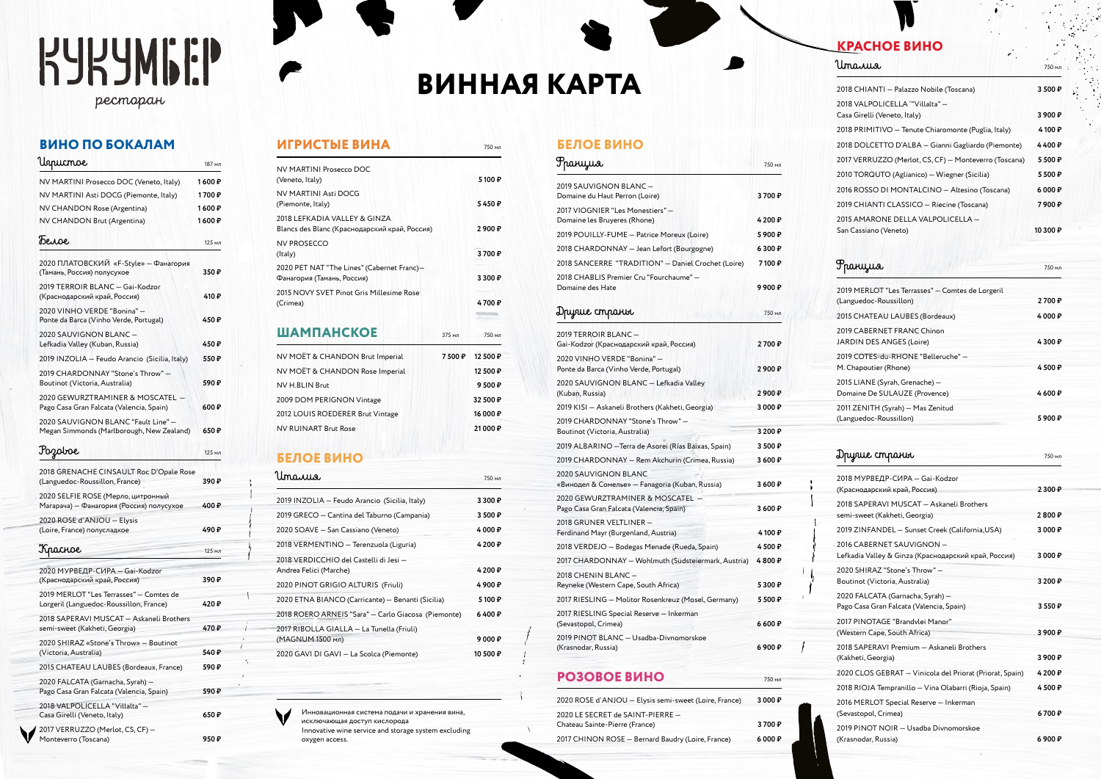# **KYKYMGEP**

рестаран

# **ВИНО ПО БОКАЛАМ**

| 'Uspucmoe                                                                        | 187 мл  |
|----------------------------------------------------------------------------------|---------|
| NV MARTINI Prosecco DOC (Veneto, Italy)                                          | 1 600 ₽ |
| NV MARTINI Asti DOCG (Piemonte, Italy)                                           | 1700₽   |
| NV CHANDON Rose (Argentina)                                                      | 1 600 ₽ |
| NV CHANDON Brut (Argentina)                                                      | 1 600 ₽ |
| Tenoe                                                                            | 125 мл  |
| 2020 ПЛАТОВСКИЙ «F-Style» - Фанагория<br>(Тамань, Россия) полусухое              | 350₽    |
| 2019 TERROIR BLANC - Gai-Kodzor<br>(Краснодарский край, Россия)                  | 410 ₽   |
| 2020 VINHO VERDE "Bonina" -<br>Ponte da Barca (Vinho Verde, Portugal)            | 450 ₽   |
| 2020 SAUVIGNON BLANC -<br>Lefkadia Valley (Kuban, Russia)                        | 450 ₽   |
| 2019 INZOLIA - Feudo Arancio (Sicilia, Italy)                                    | 550 ₽   |
| 2019 CHARDONNAY "Stone's Throw" -<br>Boutinot (Victoria, Australia)              | 590 ₽   |
| 2020 GEWURZTRAMINER & MOSCATEL -<br>Pago Casa Gran Falcata (Valencia, Spain)     | 600₽    |
| 2020 SAUVIGNON BLANC "Fault Line" -<br>Megan Simmonds (Marlborough, New Zealand) | 650₽    |
| Pozoboe                                                                          | 125 мл  |
| 2018 GRENACHE CINSAULT Roc D'Opale Rose<br>(Languedoc-Roussillon, France)        | 390 ₽   |

| (Languedoc-Roussitton, France)                                                     | コフリギ   |
|------------------------------------------------------------------------------------|--------|
| 2020 SELFIE ROSE (Мерло, цитронный<br>Магарача) – Фанагория (Россия) полусухое     | 400₽   |
| 2020 ROSE d'ANJOU - Elysis<br>(Loire, France) полусладкое                          | 490₽   |
| Kpachoe                                                                            | 125 мл |
| 2020 МУРВЕДР-СИРА - Gai-Kodzor<br>(Краснодарский край, Россия)                     | 390₽   |
| 2019 MERLOT "Les Terrasses" - Comtes de<br>Lorgeril (Languedoc-Roussillon, France) | 420₽   |
| 2018 SAPERAVI MUSCAT - Askaneli Brothers<br>semi-sweet (Kakheti, Georgia)          | 470₽   |
| 2020 SHIRAZ «Stone's Throw» - Boutinot<br>(Victoria, Australia)                    | 540₽   |
| 2015 CHATEAU LAUBES (Bordeaux, France)                                             | 590₽   |
| 2020 FALCATA (Garnacha, Syrah) -<br>Pago Casa Gran Falcata (Valencia, Spain)       | 590₽   |
| 2018 VALPOLICELLA "Villalta" -<br>Casa Girelli (Veneto, Italy)                     | 650₽   |
| 2017 VERRUZZO (Merlot, CS, CF) –<br>Monteverro (Toscana)                           | 950 P  |

# Monteverro (Toscana) **950 ₽**

**ИГРИСТЫЕ ВИНА** 750 мл

# **ВИННАЯ КАРТА**

# **БЕЛОЕ ВИНО**

| Ppanyus                                                                      | 750 мл       |
|------------------------------------------------------------------------------|--------------|
| 2019 SAUVIGNON BLANC -<br>Domaine du Haut Perron (Loire)                     | 3700₽        |
| 2017 VIOGNIER "Les Monestiers" -                                             |              |
| Domaine les Bruyeres (Rhone)                                                 | 4 200 ₽      |
| 2019 POUILLY-FUME – Patrice Moreux (Loire)                                   | 5900₽        |
| 2018 CHARDONNAY - Jean Lefort (Bourgogne)                                    | 6300₽        |
| 2018 SANCERRE "TRADITION" - Daniel Crochet (Loire)                           | 7100₽        |
| 2018 CHABLIS Premier Cru "Fourchaume" -<br>Domaine des Hate                  | 9 900 ₽      |
| Dpyrue cmparit                                                               | 750 мл       |
| 2019 TERROIR BLANC -<br>Gai-Kodzor (Краснодарский край, Россия)              | 2700₽        |
| 2020 VINHO VERDE "Bonina" -<br>Ponte da Barca (Vinho Verde, Portugal)        | 2900₽        |
| 2020 SAUVIGNON BLANC - Lefkadia Valley<br>(Kuban, Russia)                    | 2900P        |
| 2019 KISI - Askaneli Brothers (Kakheti, Georgia)                             | 3 000 ₽      |
| 2019 CHARDONNAY "Stone's Throw" -<br>Boutinot (Victoria, Australia)          | 3 200 $\,$ P |
| 2019 ALBARINO - Terra de Asorei (Rías Baixas, Spain)                         | 3500₽        |
| 2019 CHARDONNAY - Rem Akchurin (Crimea, Russia)                              | 3600₽        |
| 2020 SAUVIGNON BLANC                                                         |              |
| «Винодел & Сомелье» — Fanagoria (Kuban, Russia)                              | 3600₽        |
| 2020 GEWURZTRAMINER & MOSCATEL -<br>Pago Casa Gran Falcata (Valencia, Spain) | 3 600 ₽      |
| 2018 GRUNER VELTLINER -<br>Ferdinand Mayr (Burgenland, Austria)              | 4 100 ₽      |
| 2018 VERDEJO - Bodegas Menade (Rueda, Spain)                                 | 4500₽        |
| 2017 CHARDONNAY - Wohlmuth (Südsteiermark, Austria)                          | 4800₽        |
| 2018 CHENIN BLANC-<br>Reyneke (Western Cape, South Africa)                   | 5 300 ₽      |
| 2017 RIESLING - Molitor Rosenkreuz (Mosel, Germany)                          | 5 500 ₽      |
| 2017 RIESLING Special Reserve - Inkerman                                     |              |
| (Sevastopol, Crimea)                                                         | 6 600 ₽      |
| 2019 PINOT BLANC - Usadba-Divnomorskoe                                       |              |
| (Krasnodar, Russia)                                                          | 6 900 ₽      |

# **РОЗОВОЕ ВИНО** 750 мл

| 2020 ROSE d'ANJOU - Elysis semi-sweet (Loire, France) | 3 000 $\sqrt{P}$ |
|-------------------------------------------------------|------------------|
| 2020 LE SECRET de SAINT-PIERRE -                      |                  |
| Chateau Sainte-Pierre (France)                        | 3700 P           |
| 2017 CHINON ROSE - Bernard Baudry (Loire, France)     | 6000P            |

| NV MOËT & CHANDON Brut Imperial                                               | 7 500 ₽ | 12 500 ₽ |
|-------------------------------------------------------------------------------|---------|----------|
| <b>ШАМПАНСКОЕ</b>                                                             | 375 мл  | 750 мл   |
| 2015 NOVY SVET Pinot Gris Millesime Rose<br>(Crimea)                          |         | 4700₽    |
| 2020 PET NAT "The Lines" (Cabernet Franc)-<br>Фанагория (Тамань, Россия)      |         | 3300P    |
| <b>NV PROSECCO</b><br>(Italy)                                                 |         | 3700₽    |
| 2018 LEFKADIA VALLEY & GINZA<br>Blancs des Blanc (Краснодарский край, Россия) |         | 2900P    |
| NV MARTINI Asti DOCG<br>(Piemonte, Italy)                                     |         | 5450₽    |
| NV MARTINI Prosecco DOC<br>(Veneto, Italy)                                    |         | 5100₽    |

| NV MOËT & CHANDON Brut Imperial  | 7500₽ | 12 500 P |  |
|----------------------------------|-------|----------|--|
| NV MOËT & CHANDON Rose Imperial  |       | 12 500 ₽ |  |
| NV H.BLIN Brut                   |       | 9500P    |  |
| 2009 DOM PERIGNON Vintage        |       | 32 500 ₽ |  |
| 2012 LOUIS ROEDERER Brut Vintage |       | 16 000 P |  |
| <b>NV RUINART Brut Rose</b>      |       | 21 000 ₽ |  |
|                                  |       |          |  |

# **БЕЛОЕ ВИНО**

| 750 мл             |
|--------------------|
| 3300P              |
| 3500P              |
| 4 000 ₽            |
| 4 200 ₽            |
| 4 200 ₽            |
| 4900₽              |
| 5100₽              |
| 6400P              |
| 9 0 0 $\mathsf{P}$ |
| 10 500 ₽           |
|                    |

# **КРАСНОЕ ВИНО**

# Италия 750 мл

 $\overline{1}$ 

| 2018 CHIANTI - Palazzo Nobile (Toscana)               | 3500P            |
|-------------------------------------------------------|------------------|
| 2018 VALPOLICELLA "Villalta" -                        |                  |
| Casa Girelli (Veneto, Italy)                          | $3900 \text{ P}$ |
| 2018 PRIMITIVO - Tenute Chiaromonte (Puglia, Italy)   | 4100₽            |
| 2018 DOLCETTO D'ALBA - Gianni Gagliardo (Piemonte)    | 4400₽            |
| 2017 VERRUZZO (Merlot, CS, CF) - Monteverro (Toscana) | 5500P            |
| 2010 TORQUTO (Aglianico) - Wiegner (Sicilia)          | 5500₽            |
| 2016 ROSSO DI MONTALCINO - Altesino (Toscana)         | 6000P            |
| 2019 CHIANTI CLASSICO - Riecine (Toscana)             | 7900₽            |
| 2015 AMARONE DELLA VALPOLICELLA -                     |                  |
| San Cassiano (Veneto)                                 | 10 300 ₽         |

| Ppanyus                                                                           | 750 мл  |
|-----------------------------------------------------------------------------------|---------|
| 2019 MERLOT "Les Terrasses" - Comtes de Lorgeril<br>(Languedoc-Roussillon)        | 2700₽   |
| 2015 CHATEAU LAUBES (Bordeaux)                                                    | 4 000 ₽ |
| 2019 CABERNET FRANC Chinon<br>JARDIN DES ANGES (Loire)                            | 4300₽   |
| 2019 COTES-du-RHONE "Belleruche" -<br>M. Chapoutier (Rhone)                       | 4500₽   |
| 2015 LIANE (Syrah, Grenache) —<br>Domaine De SULAUZE (Provence)                   | 4600₽   |
| 2011 ZENITH (Syrah) — Mas Zenitud<br>(Languedoc-Roussillon)                       | 5900₽   |
| Dpyrue cmparit                                                                    | 750 мл  |
| 2018 МУРВЕДР-СИРА - Gai-Kodzor<br>(Краснодарский край, Россия)                    | 2 300 ₽ |
| 2018 SAPERAVI MUSCAT - Askaneli Brothers<br>semi-sweet (Kakheti, Georgia)         | 2800P   |
| 2019 ZINFANDEL – Sunset Creek (California,USA)                                    | 3 000 ₽ |
| 2016 CABERNET SAUVIGNON -<br>Lefkadia Valley & Ginza (Краснодарский край, Россия) | 3 000 ₽ |
| 2020 SHIRAZ "Stone's Throw" -<br>Boutinot (Victoria, Australia)                   | 3 200 ₽ |
| 2020 FALCATA (Garnacha, Syrah) –<br>Pago Casa Gran Falcata (Valencia, Spain)      | 3 550 ₽ |
| 2017 PINOTAGE "Brandylei Manor"<br>(Western Cape, South Africa)                   | 3900₽   |
| 2018 SAPERAVI Premium – Askaneli Brothers<br>(Kakheti, Georgia)                   | 3900₽   |
| 2020 CLOS GEBRAT – Vinicola del Priorat (Priorat, Spain)                          | 4200₽   |
| 2018 RIOJA Tempranillo — Vina Olabarri (Rioja, Spain)                             | 4500₽   |
|                                                                                   |         |

2016 MERLOT Special Reserve — Inkerman (Sevastopol, Crimea) **6 700 ₽** 2019 PINOT NOIR — Usadba Divnomorskoe (Krasnodar, Russia) **6 900 ₽**

Инновационная система подачи и хранения вина, исключающая доступ кислорода Innovative wine service and storage system excluding oxygen access.